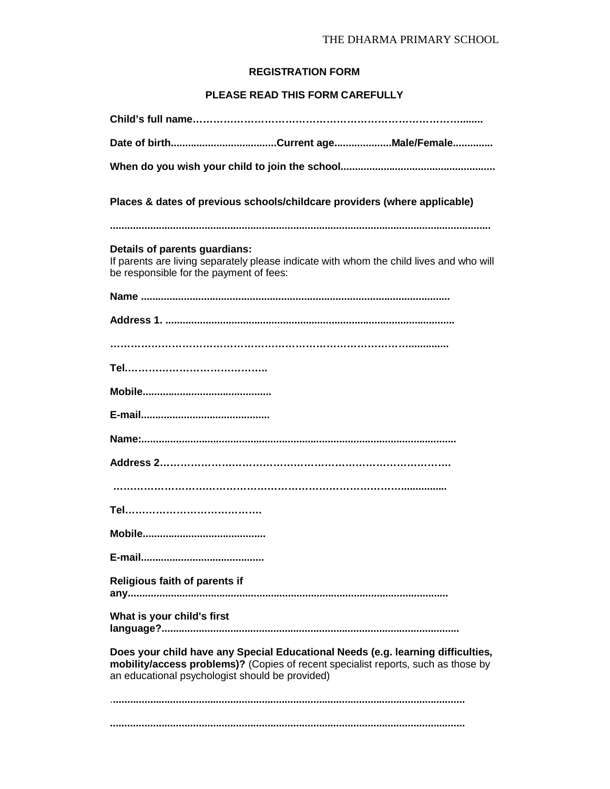## THE DHARMA PRIMARY SCHOOL

## **REGISTRATION FORM**

## **PLEASE READ THIS FORM CAREFULLY**

| Places & dates of previous schools/childcare providers (where applicable)                                                                                                                                               |
|-------------------------------------------------------------------------------------------------------------------------------------------------------------------------------------------------------------------------|
|                                                                                                                                                                                                                         |
| Details of parents guardians:<br>If parents are living separately please indicate with whom the child lives and who will<br>be responsible for the payment of fees:                                                     |
|                                                                                                                                                                                                                         |
|                                                                                                                                                                                                                         |
|                                                                                                                                                                                                                         |
|                                                                                                                                                                                                                         |
|                                                                                                                                                                                                                         |
|                                                                                                                                                                                                                         |
|                                                                                                                                                                                                                         |
|                                                                                                                                                                                                                         |
|                                                                                                                                                                                                                         |
|                                                                                                                                                                                                                         |
|                                                                                                                                                                                                                         |
|                                                                                                                                                                                                                         |
| Religious faith of parents if                                                                                                                                                                                           |
| What is your child's first                                                                                                                                                                                              |
| Does your child have any Special Educational Needs (e.g. learning difficulties,<br>mobility/access problems)? (Copies of recent specialist reports, such as those by<br>an educational psychologist should be provided) |
|                                                                                                                                                                                                                         |
|                                                                                                                                                                                                                         |